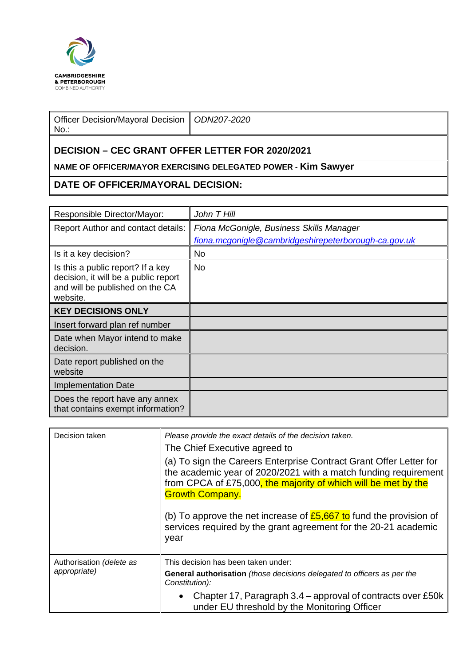

| Officer Decision/Mayoral Decision   ODN207-2020<br>$No.$ : |  |  |  |  |
|------------------------------------------------------------|--|--|--|--|
| <b>DECISION – CEC GRANT OFFER LETTER FOR 2020/2021</b>     |  |  |  |  |

## **NAME OF OFFICER/MAYOR EXERCISING DELEGATED POWER - Kim Sawyer**

## **DATE OF OFFICER/MAYORAL DECISION:**

| Responsible Director/Mayor:                                                                                              | John T Hill                                          |
|--------------------------------------------------------------------------------------------------------------------------|------------------------------------------------------|
| Report Author and contact details:                                                                                       | Fiona McGonigle, Business Skills Manager             |
|                                                                                                                          | fiona.mcgonigle@cambridgeshirepeterborough-ca.gov.uk |
| Is it a key decision?                                                                                                    | No.                                                  |
| Is this a public report? If a key<br>decision, it will be a public report<br>and will be published on the CA<br>website. | No.                                                  |
| <b>KEY DECISIONS ONLY</b>                                                                                                |                                                      |
| Insert forward plan ref number                                                                                           |                                                      |
| Date when Mayor intend to make<br>decision.                                                                              |                                                      |
| Date report published on the<br>website                                                                                  |                                                      |
| <b>Implementation Date</b>                                                                                               |                                                      |
| Does the report have any annex<br>that contains exempt information?                                                      |                                                      |

| Decision taken                           | Please provide the exact details of the decision taken.<br>The Chief Executive agreed to                                                                                                                                          |
|------------------------------------------|-----------------------------------------------------------------------------------------------------------------------------------------------------------------------------------------------------------------------------------|
|                                          |                                                                                                                                                                                                                                   |
|                                          | (a) To sign the Careers Enterprise Contract Grant Offer Letter for<br>the academic year of 2020/2021 with a match funding requirement<br>from CPCA of £75,000, the majority of which will be met by the<br><b>Growth Company.</b> |
|                                          | (b) To approve the net increase of $E$ 5,667 to fund the provision of<br>services required by the grant agreement for the 20-21 academic<br>year                                                                                  |
| Authorisation (delete as<br>appropriate) | This decision has been taken under:                                                                                                                                                                                               |
|                                          |                                                                                                                                                                                                                                   |
|                                          | General authorisation (those decisions delegated to officers as per the<br>Constitution):                                                                                                                                         |
|                                          | Chapter 17, Paragraph 3.4 – approval of contracts over £50k<br>under EU threshold by the Monitoring Officer                                                                                                                       |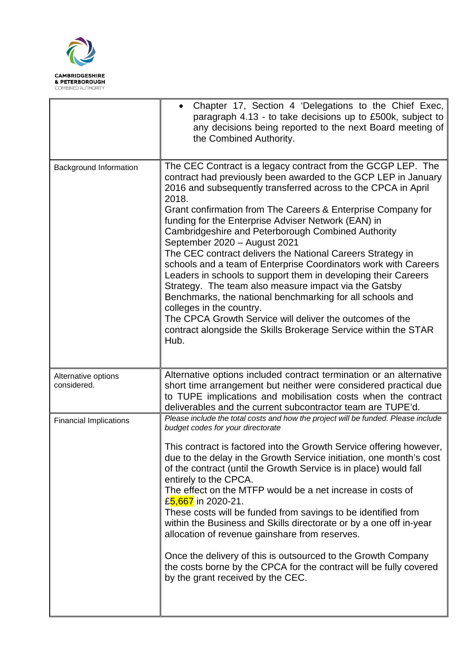

|                                    | Chapter 17, Section 4 'Delegations to the Chief Exec,<br>paragraph 4.13 - to take decisions up to £500k, subject to<br>any decisions being reported to the next Board meeting of<br>the Combined Authority.                                                                                                                                                                                                                                                                                                                                                                                                                                                                                                                                                                                                                                                                                                       |
|------------------------------------|-------------------------------------------------------------------------------------------------------------------------------------------------------------------------------------------------------------------------------------------------------------------------------------------------------------------------------------------------------------------------------------------------------------------------------------------------------------------------------------------------------------------------------------------------------------------------------------------------------------------------------------------------------------------------------------------------------------------------------------------------------------------------------------------------------------------------------------------------------------------------------------------------------------------|
| <b>Background Information</b>      | The CEC Contract is a legacy contract from the GCGP LEP. The<br>contract had previously been awarded to the GCP LEP in January<br>2016 and subsequently transferred across to the CPCA in April<br>2018.<br>Grant confirmation from The Careers & Enterprise Company for<br>funding for the Enterprise Adviser Network (EAN) in<br>Cambridgeshire and Peterborough Combined Authority<br>September 2020 - August 2021<br>The CEC contract delivers the National Careers Strategy in<br>schools and a team of Enterprise Coordinators work with Careers<br>Leaders in schools to support them in developing their Careers<br>Strategy. The team also measure impact via the Gatsby<br>Benchmarks, the national benchmarking for all schools and<br>colleges in the country.<br>The CPCA Growth Service will deliver the outcomes of the<br>contract alongside the Skills Brokerage Service within the STAR<br>Hub. |
| Alternative options<br>considered. | Alternative options included contract termination or an alternative<br>short time arrangement but neither were considered practical due<br>to TUPE implications and mobilisation costs when the contract                                                                                                                                                                                                                                                                                                                                                                                                                                                                                                                                                                                                                                                                                                          |
| <b>Financial Implications</b>      | deliverables and the current subcontractor team are TUPE'd.<br>Please include the total costs and how the project will be funded. Please include<br>budget codes for your directorate<br>This contract is factored into the Growth Service offering however,<br>due to the delay in the Growth Service initiation, one month's cost<br>of the contract (until the Growth Service is in place) would fall<br>entirely to the CPCA.<br>The effect on the MTFP would be a net increase in costs of<br>£5,667 in 2020-21.<br>These costs will be funded from savings to be identified from<br>within the Business and Skills directorate or by a one off in-year<br>allocation of revenue gainshare from reserves.<br>Once the delivery of this is outsourced to the Growth Company<br>the costs borne by the CPCA for the contract will be fully covered<br>by the grant received by the CEC.                        |